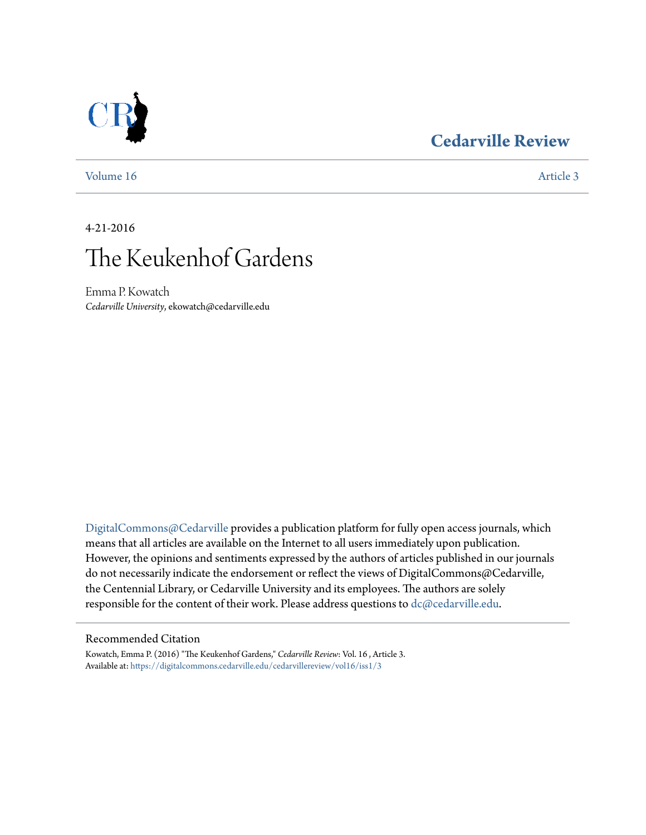### **[Cedarville Review](https://digitalcommons.cedarville.edu/cedarvillereview?utm_source=digitalcommons.cedarville.edu%2Fcedarvillereview%2Fvol16%2Fiss1%2F3&utm_medium=PDF&utm_campaign=PDFCoverPages)**



[Volume 16](https://digitalcommons.cedarville.edu/cedarvillereview/vol16?utm_source=digitalcommons.cedarville.edu%2Fcedarvillereview%2Fvol16%2Fiss1%2F3&utm_medium=PDF&utm_campaign=PDFCoverPages) [Article 3](https://digitalcommons.cedarville.edu/cedarvillereview/vol16/iss1/3?utm_source=digitalcommons.cedarville.edu%2Fcedarvillereview%2Fvol16%2Fiss1%2F3&utm_medium=PDF&utm_campaign=PDFCoverPages)

4-21-2016

# The Keukenhof Gardens

Emma P. Kowatch *Cedarville University*, ekowatch@cedarville.edu

[DigitalCommons@Cedarville](http://digitalcommons.cedarville.edu) provides a publication platform for fully open access journals, which means that all articles are available on the Internet to all users immediately upon publication. However, the opinions and sentiments expressed by the authors of articles published in our journals do not necessarily indicate the endorsement or reflect the views of DigitalCommons@Cedarville, the Centennial Library, or Cedarville University and its employees. The authors are solely responsible for the content of their work. Please address questions to [dc@cedarville.edu](mailto:dc@cedarville.edu).

#### Recommended Citation

Kowatch, Emma P. (2016) "The Keukenhof Gardens," *Cedarville Review*: Vol. 16 , Article 3. Available at: [https://digitalcommons.cedarville.edu/cedarvillereview/vol16/iss1/3](https://digitalcommons.cedarville.edu/cedarvillereview/vol16/iss1/3?utm_source=digitalcommons.cedarville.edu%2Fcedarvillereview%2Fvol16%2Fiss1%2F3&utm_medium=PDF&utm_campaign=PDFCoverPages)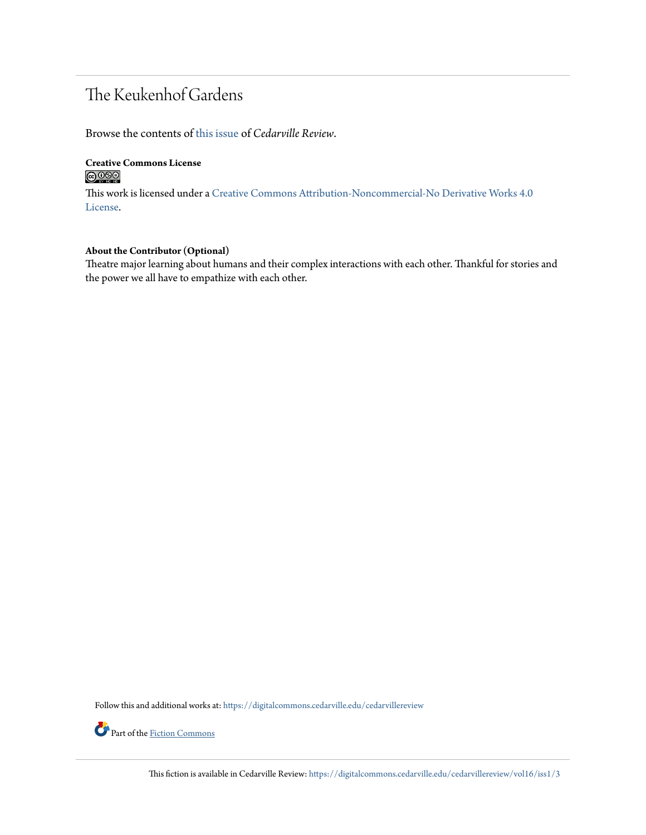## The Keukenhof Gardens

Browse the contents of [this issue](https://digitalcommons.cedarville.edu/cedarvillereview/vol16/iss1) of *Cedarville Review*.

#### **Creative Commons License**  $\bigcirc$   $\circ$

This work is licensed under a [Creative Commons Attribution-Noncommercial-No Derivative Works 4.0](http://creativecommons.org/licenses/by-nc-nd/4.0/) [License.](http://creativecommons.org/licenses/by-nc-nd/4.0/)

#### **About the Contributor (Optional)**

Theatre major learning about humans and their complex interactions with each other. Thankful for stories and the power we all have to empathize with each other.

Follow this and additional works at: [https://digitalcommons.cedarville.edu/cedarvillereview](https://digitalcommons.cedarville.edu/cedarvillereview?utm_source=digitalcommons.cedarville.edu%2Fcedarvillereview%2Fvol16%2Fiss1%2F3&utm_medium=PDF&utm_campaign=PDFCoverPages)



This fiction is available in Cedarville Review: [https://digitalcommons.cedarville.edu/cedarvillereview/vol16/iss1/3](https://digitalcommons.cedarville.edu/cedarvillereview/vol16/iss1/3?utm_source=digitalcommons.cedarville.edu%2Fcedarvillereview%2Fvol16%2Fiss1%2F3&utm_medium=PDF&utm_campaign=PDFCoverPages)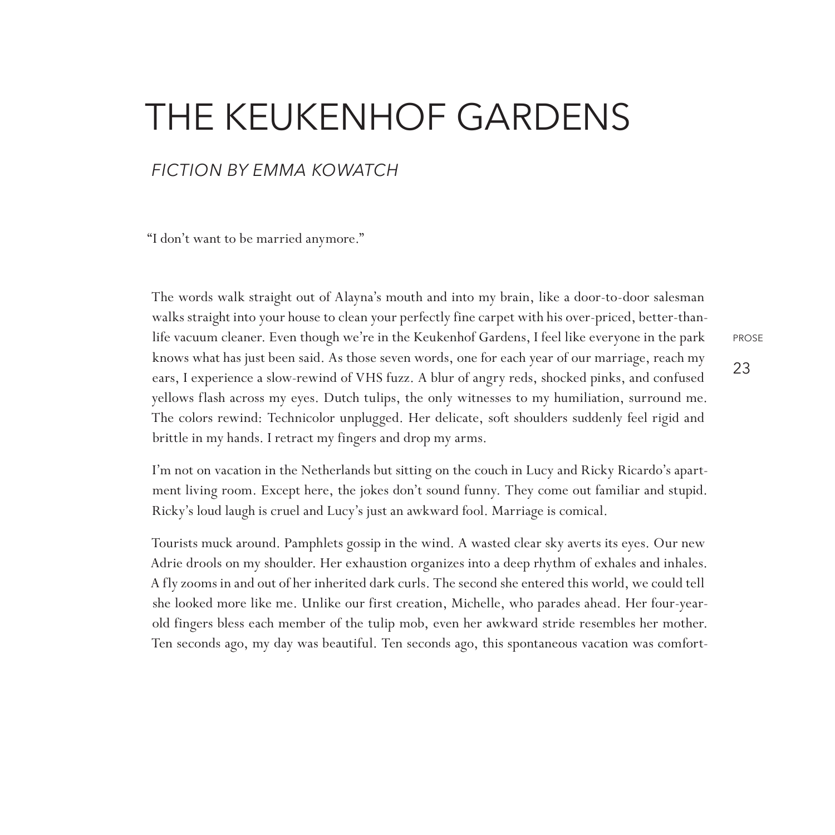## The Keukenhof Gardens

#### *fiction By Emma Kowatch*

"I don't want to be married anymore."

The words walk straight out of Alayna's mouth and into my brain, like a door-to-door salesman walks straight into your house to clean your perfectly fine carpet with his over-priced, better-thanlife vacuum cleaner. Even though we're in the Keukenhof Gardens, I feel like everyone in the park knows what has just been said. As those seven words, one for each year of our marriage, reach my ears, I experience a slow-rewind of VHS fuzz. A blur of angry reds, shocked pinks, and confused yellows flash across my eyes. Dutch tulips, the only witnesses to my humiliation, surround me. The colors rewind: Technicolor unplugged. Her delicate, soft shoulders suddenly feel rigid and brittle in my hands. I retract my fingers and drop my arms.

I'm not on vacation in the Netherlands but sitting on the couch in Lucy and Ricky Ricardo's apartment living room. Except here, the jokes don't sound funny. They come out familiar and stupid. Ricky's loud laugh is cruel and Lucy's just an awkward fool. Marriage is comical.

Tourists muck around. Pamphlets gossip in the wind. A wasted clear sky averts its eyes. Our new Adrie drools on my shoulder. Her exhaustion organizes into a deep rhythm of exhales and inhales. A fly zooms in and out of her inherited dark curls. The second she entered this world, we could tell she looked more like me. Unlike our first creation, Michelle, who parades ahead. Her four-yearold fingers bless each member of the tulip mob, even her awkward stride resembles her mother. Ten seconds ago, my day was beautiful. Ten seconds ago, this spontaneous vacation was comfort23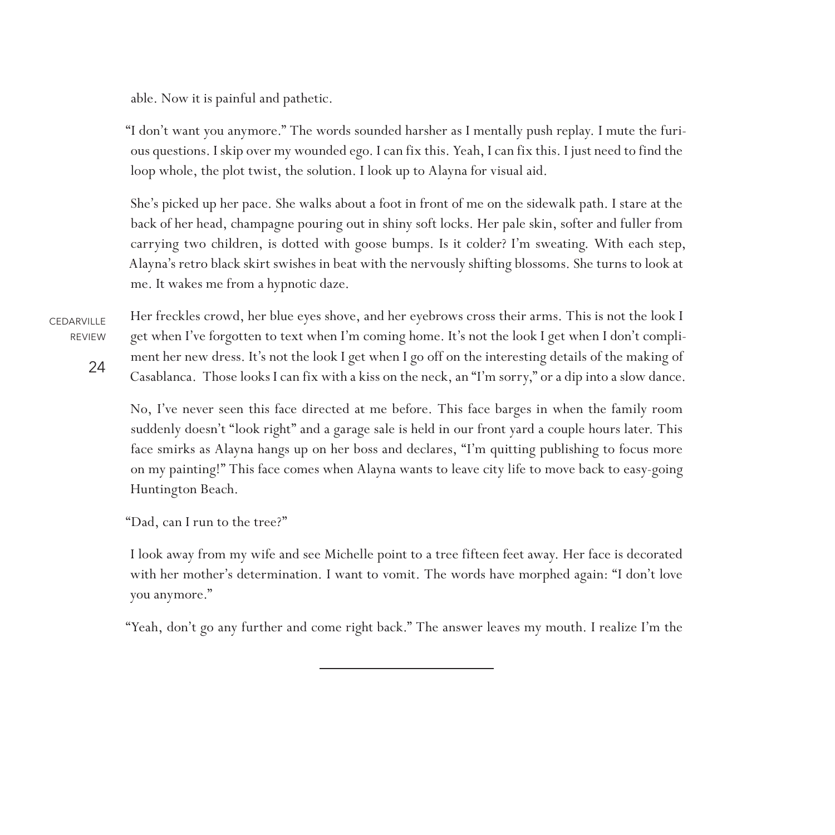able. Now it is painful and pathetic.

"I don't want you anymore." The words sounded harsher as I mentally push replay. I mute the furious questions. I skip over my wounded ego. I can fix this. Yeah, I can fix this. I just need to find the loop whole, the plot twist, the solution. I look up to Alayna for visual aid.

She's picked up her pace. She walks about a foot in front of me on the sidewalk path. I stare at the back of her head, champagne pouring out in shiny soft locks. Her pale skin, softer and fuller from carrying two children, is dotted with goose bumps. Is it colder? I'm sweating. With each step, Alayna's retro black skirt swishes in beat with the nervously shifting blossoms. She turns to look at me. It wakes me from a hypnotic daze.

**CEDARVILLE** REVIEW

24

Her freckles crowd, her blue eyes shove, and her eyebrows cross their arms. This is not the look I get when I've forgotten to text when I'm coming home. It's not the look I get when I don't compliment her new dress. It's not the look I get when I go off on the interesting details of the making of Casablanca. Those looks I can fix with a kiss on the neck, an "I'm sorry," or a dip into a slow dance.

No, I've never seen this face directed at me before. This face barges in when the family room suddenly doesn't "look right" and a garage sale is held in our front yard a couple hours later. This face smirks as Alayna hangs up on her boss and declares, "I'm quitting publishing to focus more on my painting!" This face comes when Alayna wants to leave city life to move back to easy-going Huntington Beach.

"Dad, can I run to the tree?"

I look away from my wife and see Michelle point to a tree fifteen feet away. Her face is decorated with her mother's determination. I want to vomit. The words have morphed again: "I don't love you anymore."

"Yeah, don't go any further and come right back." The answer leaves my mouth. I realize I'm the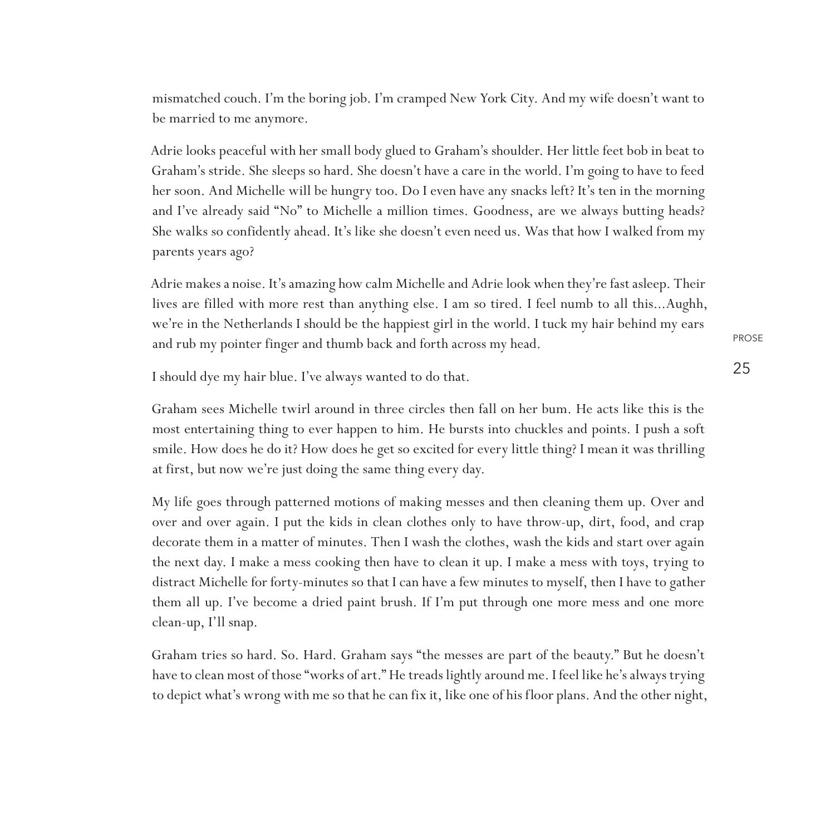mismatched couch. I'm the boring job. I'm cramped New York City. And my wife doesn't want to be married to me anymore.

Adrie looks peaceful with her small body glued to Graham's shoulder. Her little feet bob in beat to Graham's stride. She sleeps so hard. She doesn't have a care in the world. I'm going to have to feed her soon. And Michelle will be hungry too. Do I even have any snacks left? It's ten in the morning and I've already said "No" to Michelle a million times. Goodness, are we always butting heads? She walks so confidently ahead. It's like she doesn't even need us. Was that how I walked from my parents years ago?

Adrie makes a noise. It's amazing how calm Michelle and Adrie look when they're fast asleep. Their lives are filled with more rest than anything else. I am so tired. I feel numb to all this...Aughh, we're in the Netherlands I should be the happiest girl in the world. I tuck my hair behind my ears and rub my pointer finger and thumb back and forth across my head.

I should dye my hair blue. I've always wanted to do that.

Graham sees Michelle twirl around in three circles then fall on her bum. He acts like this is the most entertaining thing to ever happen to him. He bursts into chuckles and points. I push a soft smile. How does he do it? How does he get so excited for every little thing? I mean it was thrilling at first, but now we're just doing the same thing every day.

My life goes through patterned motions of making messes and then cleaning them up. Over and over and over again. I put the kids in clean clothes only to have throw-up, dirt, food, and crap decorate them in a matter of minutes. Then I wash the clothes, wash the kids and start over again the next day. I make a mess cooking then have to clean it up. I make a mess with toys, trying to distract Michelle for forty-minutes so that I can have a few minutes to myself, then I have to gather them all up. I've become a dried paint brush. If I'm put through one more mess and one more clean-up, I'll snap.

Graham tries so hard. So. Hard. Graham says "the messes are part of the beauty." But he doesn't have to clean most of those "works of art." He treads lightly around me. I feel like he's always trying to depict what's wrong with me so that he can fix it, like one of his floor plans. And the other night,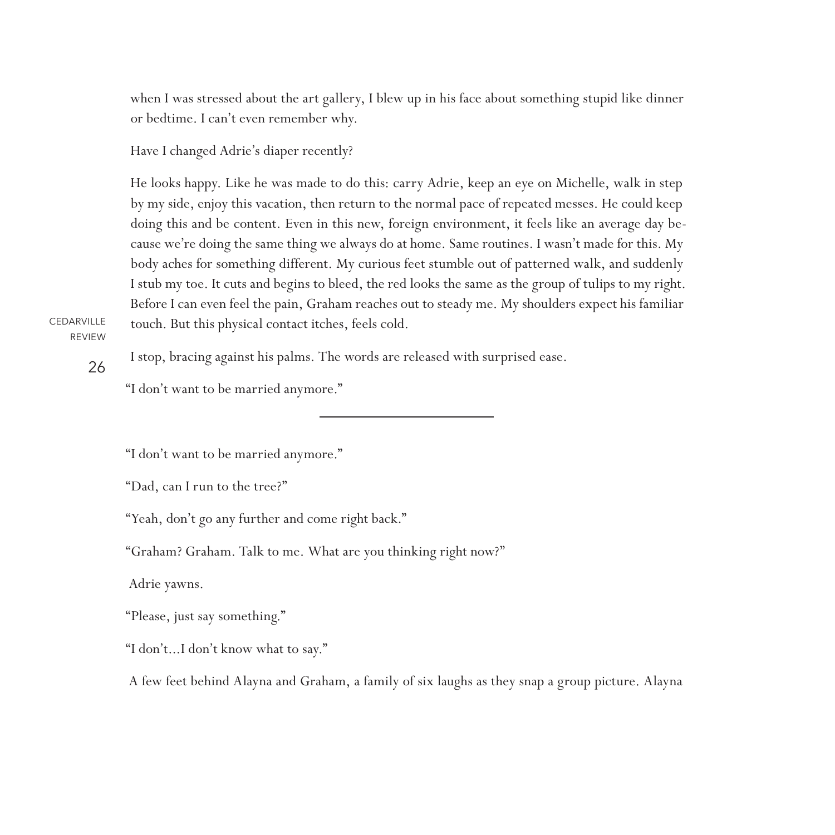when I was stressed about the art gallery, I blew up in his face about something stupid like dinner or bedtime. I can't even remember why.

Have I changed Adrie's diaper recently?

He looks happy. Like he was made to do this: carry Adrie, keep an eye on Michelle, walk in step by my side, enjoy this vacation, then return to the normal pace of repeated messes. He could keep doing this and be content. Even in this new, foreign environment, it feels like an average day because we're doing the same thing we always do at home. Same routines. I wasn't made for this. My body aches for something different. My curious feet stumble out of patterned walk, and suddenly I stub my toe. It cuts and begins to bleed, the red looks the same as the group of tulips to my right. Before I can even feel the pain, Graham reaches out to steady me. My shoulders expect his familiar touch. But this physical contact itches, feels cold.

CEDARVILLE REVIEW

26

I stop, bracing against his palms. The words are released with surprised ease.

"I don't want to be married anymore."

"I don't want to be married anymore."

"Dad, can I run to the tree?"

"Yeah, don't go any further and come right back."

"Graham? Graham. Talk to me. What are you thinking right now?"

Adrie yawns.

"Please, just say something."

"I don't...I don't know what to say."

A few feet behind Alayna and Graham, a family of six laughs as they snap a group picture. Alayna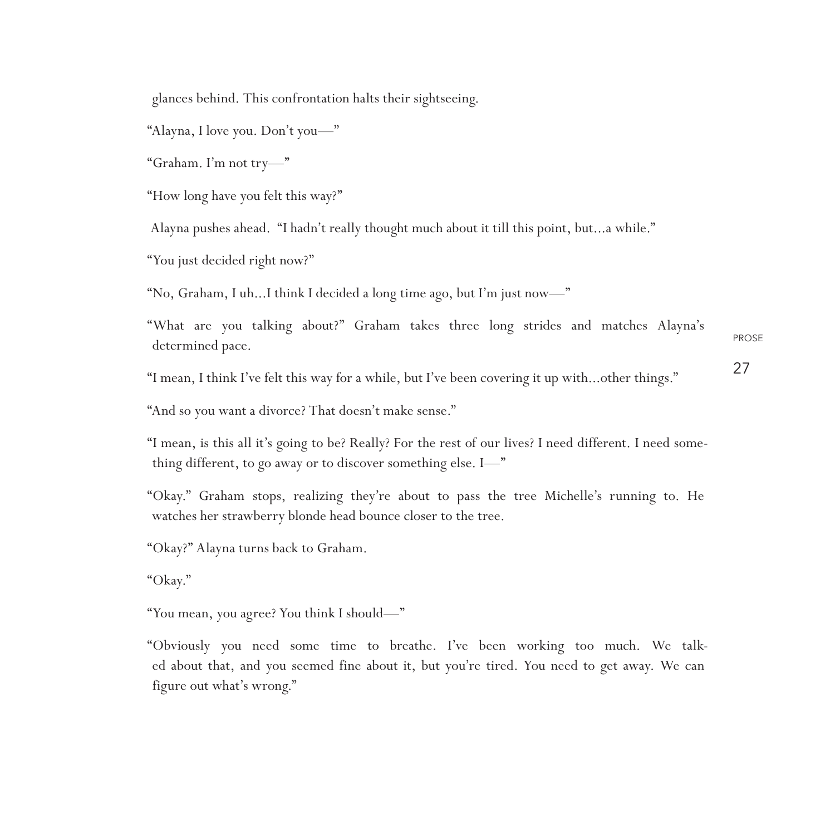glances behind. This confrontation halts their sightseeing.

"Alayna, I love you. Don't you—"

"Graham. I'm not try—"

"How long have you felt this way?"

Alayna pushes ahead. "I hadn't really thought much about it till this point, but...a while."

"You just decided right now?"

"No, Graham, I uh...I think I decided a long time ago, but I'm just now—"

PROSE "What are you talking about?" Graham takes three long strides and matches Alayna's determined pace.

"I mean, I think I've felt this way for a while, but I've been covering it up with...other things."

27

"And so you want a divorce? That doesn't make sense."

"I mean, is this all it's going to be? Really? For the rest of our lives? I need different. I need something different, to go away or to discover something else. I—"

"Okay." Graham stops, realizing they're about to pass the tree Michelle's running to. He watches her strawberry blonde head bounce closer to the tree.

"Okay?" Alayna turns back to Graham.

"Okay."

"You mean, you agree? You think I should—"

"Obviously you need some time to breathe. I've been working too much. We talked about that, and you seemed fine about it, but you're tired. You need to get away. We can figure out what's wrong."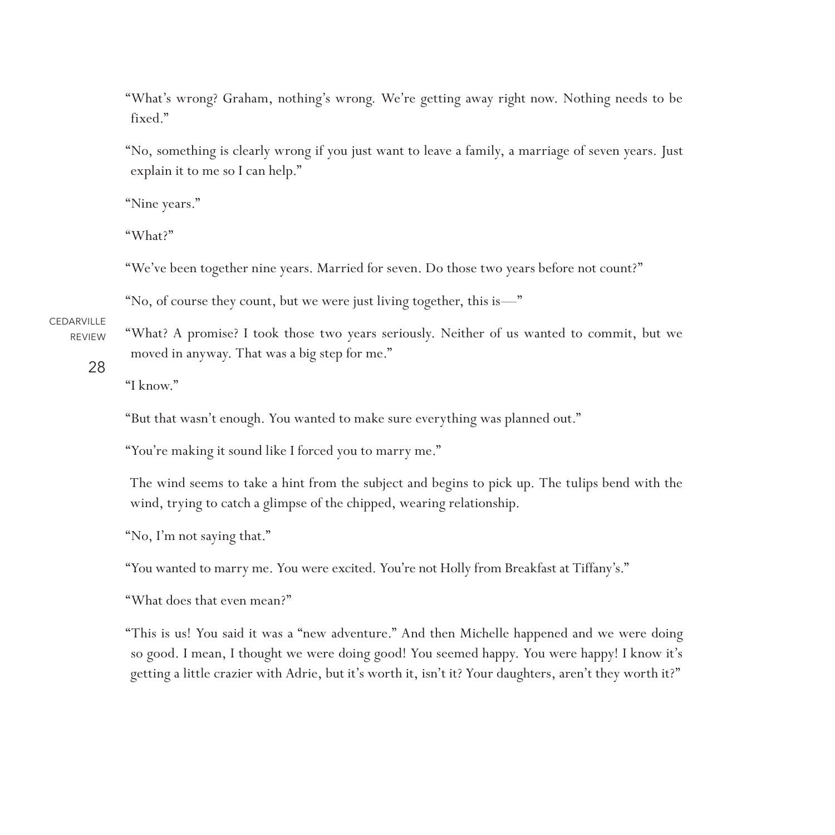"What's wrong? Graham, nothing's wrong. We're getting away right now. Nothing needs to be fixed."

"No, something is clearly wrong if you just want to leave a family, a marriage of seven years. Just explain it to me so I can help."

"Nine years."

"What?"

"We've been together nine years. Married for seven. Do those two years before not count?"

"No, of course they count, but we were just living together, this is—"

CEDARVILLE REVIEW

"What? A promise? I took those two years seriously. Neither of us wanted to commit, but we moved in anyway. That was a big step for me."

28

"I know."

"But that wasn't enough. You wanted to make sure everything was planned out."

"You're making it sound like I forced you to marry me."

The wind seems to take a hint from the subject and begins to pick up. The tulips bend with the wind, trying to catch a glimpse of the chipped, wearing relationship.

"No, I'm not saying that."

"You wanted to marry me. You were excited. You're not Holly from Breakfast at Tiffany's."

"What does that even mean?"

"This is us! You said it was a "new adventure." And then Michelle happened and we were doing so good. I mean, I thought we were doing good! You seemed happy. You were happy! I know it's getting a little crazier with Adrie, but it's worth it, isn't it? Your daughters, aren't they worth it?"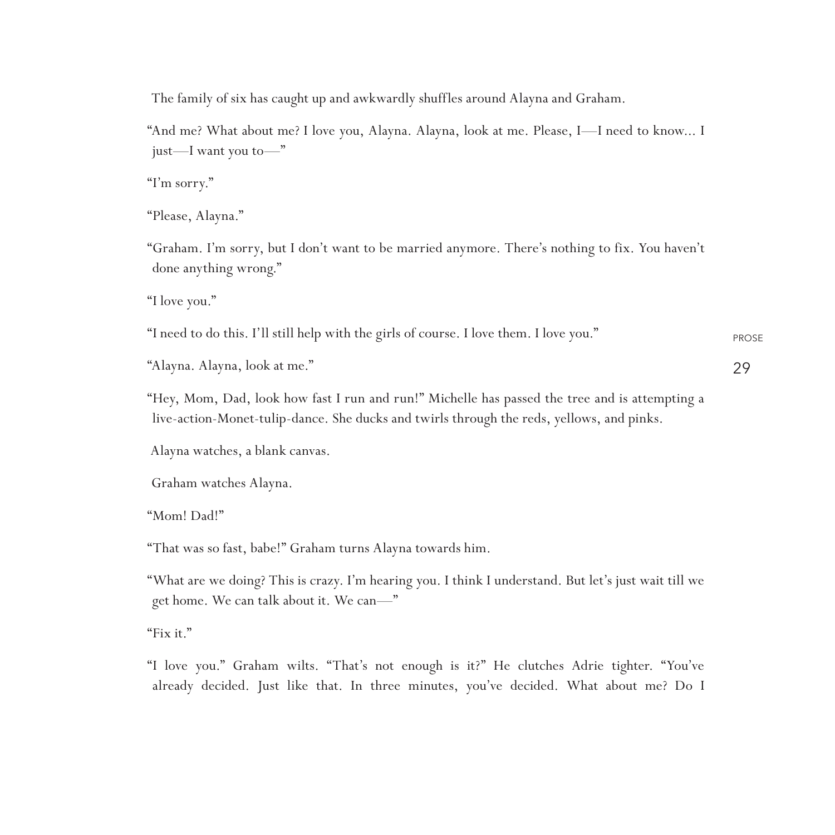The family of six has caught up and awkwardly shuffles around Alayna and Graham.

"And me? What about me? I love you, Alayna. Alayna, look at me. Please, I—I need to know... I just—I want you to—"

"I'm sorry."

"Please, Alayna."

"Graham. I'm sorry, but I don't want to be married anymore. There's nothing to fix. You haven't done anything wrong."

"I love you."

PROSE "I need to do this. I'll still help with the girls of course. I love them. I love you."

29

"Alayna. Alayna, look at me."

"Hey, Mom, Dad, look how fast I run and run!" Michelle has passed the tree and is attempting a live-action-Monet-tulip-dance. She ducks and twirls through the reds, yellows, and pinks.

Alayna watches, a blank canvas.

Graham watches Alayna.

"Mom! Dad!"

"That was so fast, babe!" Graham turns Alayna towards him.

"What are we doing? This is crazy. I'm hearing you. I think I understand. But let's just wait till we get home. We can talk about it. We can—"

"Fix it."

"I love you." Graham wilts. "That's not enough is it?" He clutches Adrie tighter. "You've already decided. Just like that. In three minutes, you've decided. What about me? Do I